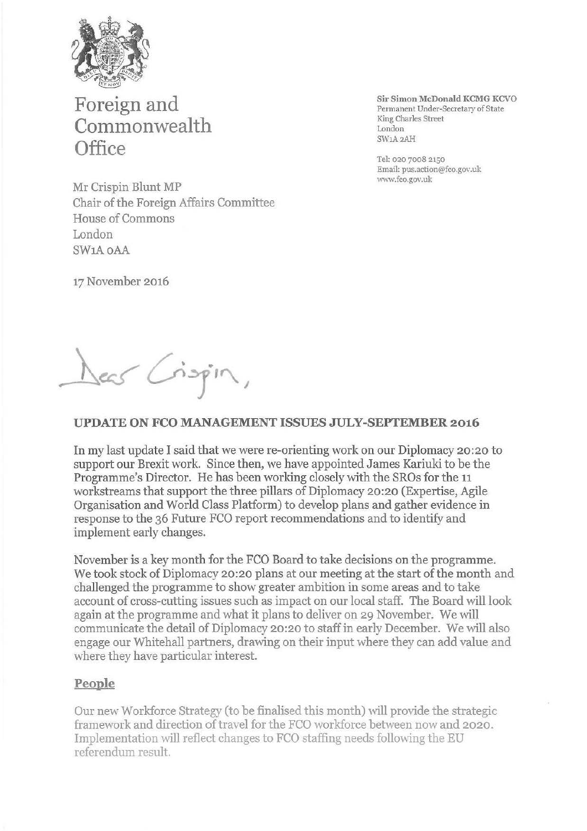

**Foreign and Commonwealth Office** 

**Sir Simon McDonald KCMG KCVO**  Permanent Under-Secretary of State King Charles Street London SW1A2AH

Tel: 020 7008 2150 Email: pus.action@fco.gov.uk wvrw.fco.gov.uk

Mr Crispin Blunt MP Chair of the Foreign Affairs Committee House of Commons London SW<sub>1</sub>A OAA

17 November 2016

Dear Crispin,

### **UPDATE ON FCO MANAGEMENT ISSUES JULY-SEPTEMBER 2016**

In my last update I said that we were re-orienting work on our Diplomacy 20:20 to support our Brexit work. Since then, we have appointed James Kariuki to be the Programme's Director. He has been working closely with the SROs for the 11 workstreams that support the three pillars of Diplomacy 20:20 (Expertise, Agile Organisation and World Class Platform) to develop plans and gather evidence in response to the 36 Future FCO report recommendations and to identify and implement early changes.

November is a key month for the FCO Board to take decisions on the programme. We took stock of Diplomacy 20:20 plans at our meeting at the start of the month and challenged the programme to show greater ambition in some areas and to take account of cross-cutting issues such as impact on our local staff. The Board will look again at the programme and what it plans to deliver on 29 November. We will communicate the detail of Diplomacy 20:20 to staff in early December. We will also engage our Whitehall partners, drawing on their input where they can add value and where they have particular interest.

### **People**

Our new Workforce Strategy (to be finalised this month) will provide the strategic framework and direction of travel for the FCO workforce between now and 2020. Implementation will reflect changes to FCO staffing needs following the EU referendum result.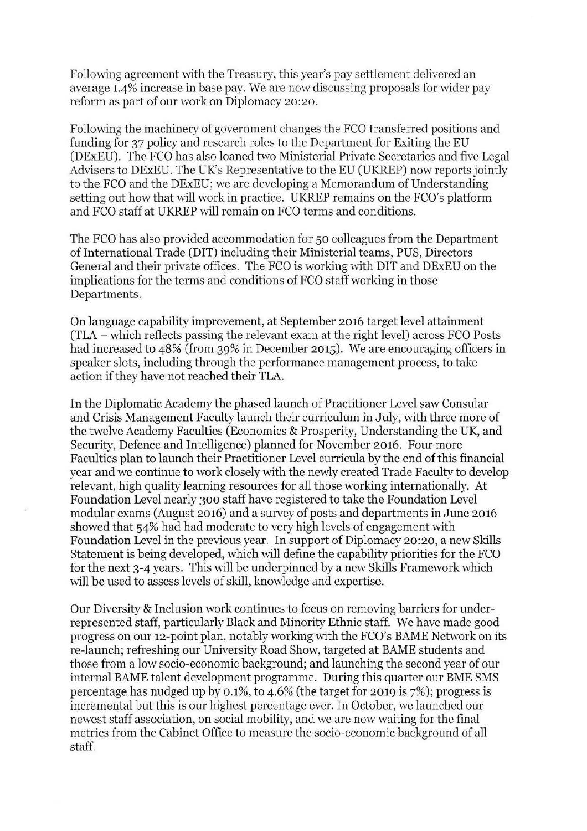Following agreement with the Treasury, this year's pay settlement delivered an average 1.4% increase in base pay. We are now discussing proposals for wider pay reform as part of our work on Diplomacy 20:20.

Following the machinery of government changes the FCO transferred positions and funding for 37 policy and research roles to the Department for Exiting the EU (DExEU). The FCO has also loaned two Ministerial Private Secretaries and five Legal Advisers to DExEU. The UK's Representative to the EU (UKREP) now reports jointly to the FCO and the DExEU; we are developing a Memorandum of Understanding setting out how that will work in practice. UKREP remains on the FCO's platform and FCO staff at UKREP will remain on FCO terms and conditions.

The FCO has also provided accommodation for 50 colleagues from the Department of International Trade (DIT) including their Ministerial teams, PUS, Directors General and their private offices. The FCO is working with DIT and DExEU on the implications for the terms and conditions of FCO staff working in those Departments.

On language capability improvement, at September 2016 target level attainment (TLA - which reflects passing the relevant exam at the right level) across FCO Posts had increased to 48% (from 39% in December 2015). We are encouraging officers in speaker slots, including through the performance management process, to take action if they have not reached their TLA.

In the Diplomatic Academy the phased launch of Practitioner Level saw Consular and Crisis Management Faculty launch their curriculum in July, with three more of the twelve Academy Faculties (Economics & Prosperity, Understanding the UK, and Security, Defence and Intelligence) planned for November 2016. Four more Faculties plan to launch their Practitioner Level curricula by the end of this financial year and we continue to work closely with the newly created Trade Faculty to develop relevant, high quality learning resources for all those working internationally. At Foundation Level nearly 300 staff have registered to take the Foundation Level modular exams (August 2016) and a survey of posts and departments in June 2016 showed that 54% had had moderate to very high levels of engagement with Foundation Level in the previous year. In support of Diplomacy 20:20, a new Skills Statement is being developed, which will define the capability priorities for the FCO for the next 3-4 years. This will be underpinned by a new Skills Framework which will be used to assess levels of skill, knowledge and expertise.

Our Diversity & Inclusion work continues to focus on removing barriers for underrepresented staff, particularly Black and Minority Ethnic staff. We have made good progress on our 12-point plan, notably working with the FCO's BAME Network on its re-launch; refreshing our University Road Show, targeted at BAME students and those from a low socio-economic background; and launching the second year of our internal BAME talent development programme. During this quarter our BME SMS percentage has nudged up by 0.1%, to 4.6% (the target for 2019 is 7%); progress is incremental but this is our highest percentage ever. In October, we launched our newest staff association, on social mobility, and we are now waiting for the final metrics from the Cabinet Office to measure the socio-economic background of all staff.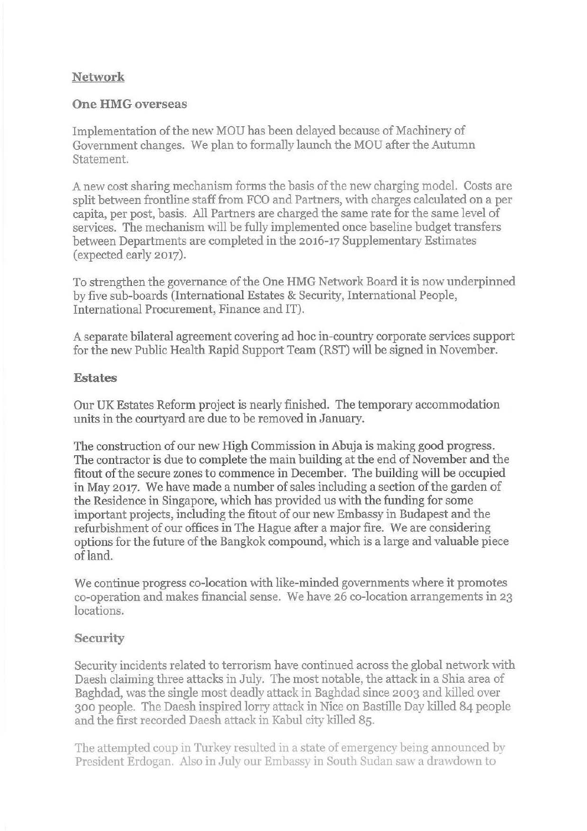# **Network**

## **One HMG overseas**

Implementation of the new MOU has been delayed because of Machinery of Government changes. We plan to formally launch the MOU after the Autumn Statement.

A new cost sharing mechanism forms the basis ofthe new charging model. Costs are split between frontline staff from FCO and Partners, with charges calculated on a per capita, per post, basis. All Partners are charged the same rate for the same level of services. The mechanism will be fully implemented once baseline budget transfers between Departments are completed in the 2016-17 Supplementary Estimates (expected early 2017).

To strengthen the governance of the One HMG Network Board it is now underpinned by five sub-boards (International Estates & Security, International People, International Procurement, Finance and IT).

A separate bilateral agreement covering ad hoe in-country corporate services support for the new Public Health Rapid Support Team (RST) will be signed in November.

## **Estates**

Our UK Estates Reform project is nearly finished. The temporary accommodation units in the courtyard are due to be removed in January.

The construction of our new High Commission in Abuja is making good progress. The contractor is due to complete the main building at the end of November and the fitout of the secure zones to commence in December. The building will be occupied in May 2017. We have made a number of sales including a section of the garden of the Residence in Singapore, which has provided us with the funding for some important projects, including the fitout of our new Embassy in Budapest and the refurbishment of our offices in The Hague after a major fire. We are considering options for the future of the Bangkok compound, which is a large and valuable piece of land.

We continue progress co-location with like-minded governments where it promotes co-operation and makes financial sense. We have 26 co-location arrangements in 23 locations.

# **Security**

Security incidents related to terrorism have continued across the global network with Daesh claiming three attacks in July. The most notable, the attack in a Shia area of Baghdad, was the single most deadly attack in Baghdad since 2003 and killed over 300 people. The Daesh inspired lorry attack in Nice on Bastille Day killed 84 people and the first recorded Daesh attack in Kabul city ki1led 85.

The attempted coup in Turkey resulted in a state of emergency being announced by President Erdogan. Also in July our Embassy in South Sudan saw a drawdown to